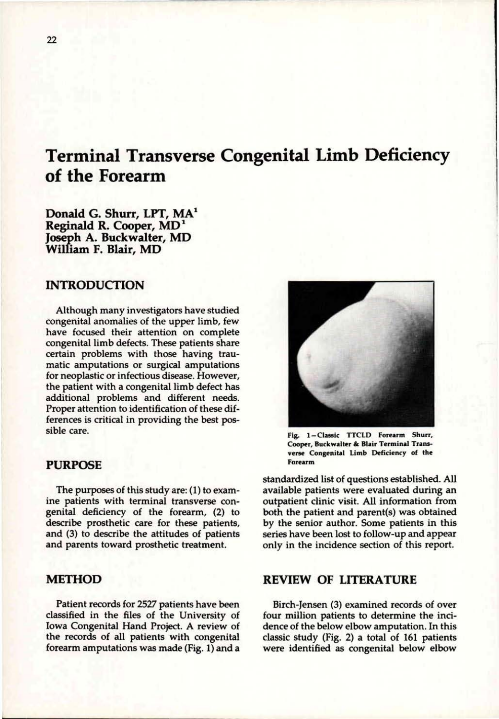# **Terminal Transverse Congenital Limb Deficiency of the Forearm**

**Donald G. Shurr, LPT, MA<sup>1</sup> Reginald R. Cooper, MD<sup>1</sup> Joseph A. Buckwalter, MD William F. Blair, MD** 

### **INTRODUCTION**

Although many investigators have studied congenital anomalies of the upper limb, few have focused their attention on complete congenital limb defects. These patients share certain problems with those having traumatic amputations or surgical amputations for neoplastic or infectious disease. However, the patient with a congenital limb defect has additional problems and different needs. Proper attention to identification of these differences is critical in providing the best possible care.

#### **PURPOSE**

The purposes of this study are: (1) to examine patients with terminal transverse congenital deficiency of the forearm, (2) to describe prosthetic care for these patients, and (3) to describe the attitudes of patients and parents toward prosthetic treatment.

#### **METHOD**

Patient records for 2527 patients have been classified in the files of the University of Iowa Congenital Hand Project. A review of the records of all patients with congenital forearm amputations was made (Fig. 1) and a



**Fig. 1-Classic TTCLD Forearm Shurr, Cooper, Buckwalter & Blair Terminal Transverse Congenital Limb Deficiency of the Forearm** 

standardized list of questions established. All available patients were evaluated during an outpatient clinic visit. All information from both the patient and parent(s) was obtained by the senior author. Some patients in this series have been lost to follow-up and appear only in the incidence section of this report.

#### **REVIEW OF LITERATURE**

Birch-Jensen (3) examined records of over four million patients to determine the incidence of the below elbow amputation. In this classic study (Fig. 2) a total of 161 patients were identified as congenital below elbow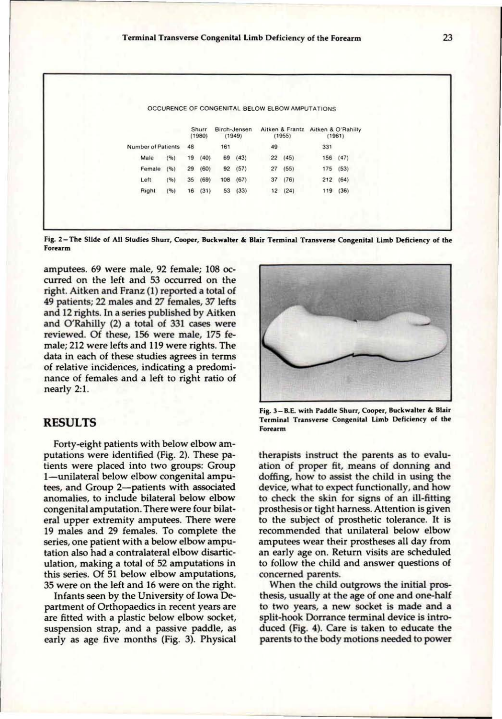|                    |      |    |                 |     |                        |    |                                              | OCCURENCE OF CONGENITAL BELOW ELBOW AMPUTATIONS |          |  |
|--------------------|------|----|-----------------|-----|------------------------|----|----------------------------------------------|-------------------------------------------------|----------|--|
|                    |      |    | Shurr<br>(1980) |     | Birch-Jensen<br>(1949) |    | Aitken & Frantz Aitken & O'Rahilly<br>(1955) |                                                 | (1961)   |  |
| Number of Patients |      | 48 |                 | 161 |                        | 49 |                                              | 331                                             |          |  |
| Male               | (96) | 19 | (40)            | 69  | (43)                   |    | 22(45)                                       |                                                 | 156 (47) |  |
| Female             | (96) | 29 | (60)            | 92  | (57)                   | 27 | (55)                                         |                                                 | 175 (53) |  |
| Left               | (96) | 35 | (69)            | 108 | (67)                   | 37 | (76)                                         |                                                 | 212(64)  |  |
| Right              | (96) |    | 16(31)          | 53  | (33)                   |    | 12(24)                                       |                                                 | 119 (36) |  |

**Fig. 2-Th e Slide of All Studies Shurr, Cooper, Buckwalter & Blair Terminal Transverse Congenital Limb Deficiency of the Forearm** 

amputees. 69 were male, 92 female; 108 occurred on the left and 53 occurred on the right. Aitken and Franz (1) reported a total of 49 patients; 22 males and 27 females, 37 lefts and 12 rights. In a series published by Aitken and O'Rahilly (2) a total of 331 cases were reviewed. Of these, 156 were male, 175 female; 212 were lefts and 119 were rights. The data in each of these studies agrees in terms of relative incidences, indicating a predominance of females and a left to right ratio of nearly 2:1.

#### **RESULTS**

Forty-eight patients with below elbow amputations were identified (Fig. 2). These patients were placed into two groups: Group 1—unilateral below elbow congenital amputees, and Group 2—patients with associated anomalies, to include bilateral below elbow congenital amputation. There were four bilateral upper extremity amputees. There were 19 males and 29 females. To complete the series, one patient with a below elbow amputation also had a contralateral elbow disarticulation, making a total of 52 amputations in this series. Of 51 below elbow amputations, 35 were on the left and 16 were on the right.

Infants seen by the University of Iowa Department of Orthopaedics in recent years are are fitted with a plastic below elbow socket, suspension strap, and a passive paddle, as early as age five months (Fig. 3). Physical



**Fig. 3-B.E. with Paddle Shurr, Cooper, Buckwalter & Blair Terminal Transverse Congenital Limb Deficiency of the Forearm** 

therapists instruct the parents as to evaluation of proper fit, means of donning and doffing, how to assist the child in using the device, what to expect functionally, and how to check the skin for signs of an ill-fitting prosthesis or tight harness. Attention is given to the subject of prosthetic tolerance. It is recommended that unilateral below elbow amputees wear their prostheses all day from an early age on. Return visits are scheduled to follow the child and answer questions of concerned parents.

When the child outgrows the initial prosthesis, usually at the age of one and one-half to two years, a new socket is made and a split-hook Dorrance terminal device is introduced (Fig. 4). Care is taken to educate the parents to the body motions needed to power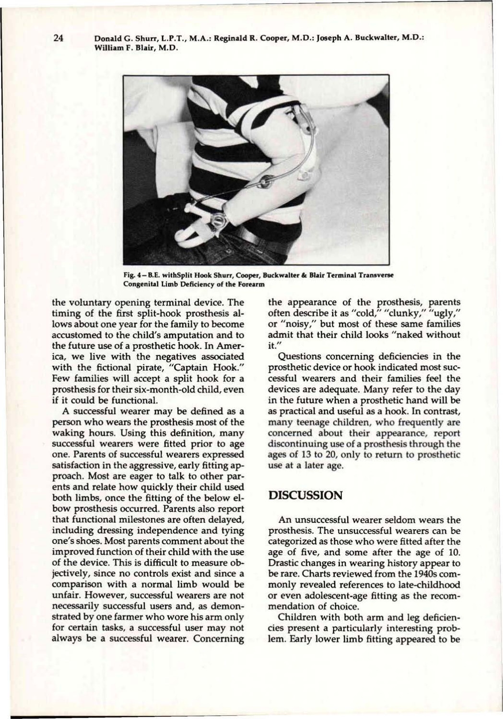Donald G. Shurr, L.P.T., M.A.: Reginald R. Cooper, M.D.: Joseph A. Buckwalter, M.D.: William F. Blair, M.D.



**Fig. 4 - B.E. with Split Hook Shurr, Cooper, Buckwalter & Blair Terminal Transverse Congenital Limb Deficiency of the Forearm** 

the voluntary opening terminal device. The timing of the first split-hook prosthesis allows about one year for the family to become accustomed to the child's amputation and to the future use of a prosthetic hook. In America, we live with the negatives associated with the fictional pirate, "Captain Hook." Few families will accept a split hook for a prosthesis for their six-month-old child, even if it could be functional.

A successful wearer may be defined as a person who wears the prosthesis most of the waking hours. Using this definition, many successful wearers were fitted prior to age one. Parents of successful wearers expressed satisfaction in the aggressive, early fitting approach. Most are eager to talk to other parents and relate how quickly their child used both limbs, once the fitting of the below elbow prosthesis occurred. Parents also report that functional milestones are often delayed, including dressing independence and tying one's shoes. Most parents comment about the improved function of their child with the use of the device. This is difficult to measure objectively, since no controls exist and since a comparison with a normal limb would be unfair. However, successful wearers are not necessarily successful users and, as demonstrated by one farmer who wore his arm only for certain tasks, a successful user may not always be a successful wearer. Concerning the appearance of the prosthesis, parents often describe it as "cold," "clunky," "ugly," or "noisy," but most of these same families admit that their child looks "naked without it."

Questions concerning deficiencies in the prosthetic device or hook indicated most successful wearers and their families feel the devices are adequate. Many refer to the day in the future when a prosthetic hand will be as practical and useful as a hook. In contrast, many teenage children, who frequently are concerned about their appearance, report discontinuing use of a prosthesis through the ages of 13 to 20, only to return to prosthetic use at a later age.

## **DISCUSSION**

An unsuccessful wearer seldom wears the prosthesis. The unsuccessful wearers can be categorized as those who were fitted after the age of five, and some after the age of 10. Drastic changes in wearing history appear to be rare. Charts reviewed from the 1940s commonly revealed references to late-childhood or even adolescent-age fitting as the recommendation of choice.

Children with both arm and leg deficiencies present a particularly interesting problem. Early lower limb fitting appeared to be